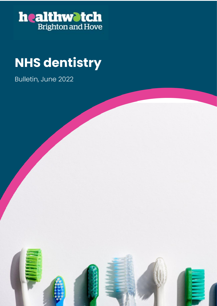

### **NHS dentistry**

Bulletin, June 2022

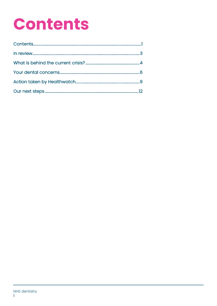# **Contents**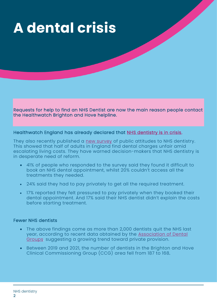# **A dental crisis**

Requests for help to find an NHS Dentist are now the main reason people contact the Healthwatch Brighton and Hove helpline.

#### Healthwatch England has already declared that [NHS dentistry is in crisis.](https://www.healthwatchbrightonandhove.co.uk/news/2021-05-25/twin-crisis-access-and-affordability-calls-radical-rethink-nhs-dentistry)

They also recently published a [new survey](https://www.healthwatchbrightonandhove.co.uk/news/2022-05-09/lack-nhs-dental-appointments-widens-health-inequalities) of public attitudes to NHS dentistry. This showed that half of adults in England find dental charges unfair amid escalating living costs. They have warned decision-makers that NHS dentistry is in desperate need of reform.

- 41% of people who responded to the survey said they found it difficult to book an NHS dental appointment, whilst 20% couldn't access all the treatments they needed.
- 24% said they had to pay privately to get all the required treatment.
- 17% reported they felt pressured to pay privately when they booked their dental appointment. And 17% said their NHS dentist didn't explain the costs before starting treatment.

#### Fewer NHS dentists

- The above findings come as more than 2,000 dentists quit the NHS last year, according to recent data obtained by the [Association](https://www.theadg.co.uk/englands-dental-deserts-and-the-urgent-need-to-level-up-access-to-dentistry/) of Dental [Groups,](https://www.theadg.co.uk/englands-dental-deserts-and-the-urgent-need-to-level-up-access-to-dentistry/) suggesting a growing trend toward private provision.
- Between 2019 and 2021, the number of dentists in the Brighton and Hove Clinical Commissioning Group (CCG) area fell from 187 to 168.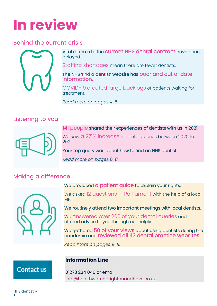# **In review**

### Behind the current crisis



Vital reforms to the current NHS dental contract have been delayed.

Staffing shortages mean there are fewer dentists.

The NHS ['find a dentist'](https://www.nhs.uk/service-search/find-a-dentist) website has poor and out of date information.

COVID-19 created large backlogs of patients waiting for treatment.

*Read more on pages 4-5*

### Listening to you



141 people shared their experiences of dentists with us in 2021.

We saw a 271% increase in dental queries between 2020 to 2021.

Your top query was about how to find an NHS dentist.

*Read more on pages 6-8.*

### Making a difference



We produced a patient guide to explain your rights.

We asked 12 questions in Parliament with the help of a local MP.

We routinely attend two important meetings with local dentists.

We answered over 200 of your dental queries and offered advice to you through our helpline.

We gathered 50 of your views about using dentists during the pandemic and reviewed all 43 dental practice websites.

*Read more on pages 9-11.*

### **Information Line**

**Contact us** 

01273 234 040 or email [info@healthwatchbrightonandhove.co.uk](mailto:info@healthwatchbrightonandhove.co.uk)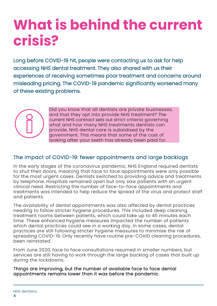# **What is behind the current crisis?**

Long before COVID-19 hit, people were contacting us to ask for help accessing NHS dental treatment. They also shared with us their experiences of receiving sometimes poor treatment and concerns around misleading pricing. The COVID-19 pandemic significantly worsened many of these existing problems.



Did you know that all dentists are private businesses, and that they opt into provide NHS treatment? The current NHS contract sets out strict criteria governing what and how many NHS treatments dentists can provide. NHS dental care is subsidised by the government. This means that some of the cost of looking after your teeth has already been paid for.

### The impact of COVID-19: fewer appointments and large backlogs

In the early stages of the coronavirus pandemic, NHS England required dentists to shut their doors, meaning that face to face appointments were only possible for the most urgent cases. Dentists switched to providing advice and treatments by telephone. Hospitals remained open but only saw patients with an urgent clinical need. Restricting the number of face-to-face appointments and treatments was intended to help reduce the spread of the virus and protect staff and patients.

The availability of dental appointments was also affected by dental practices needing to follow stricter hygiene procedures. This included deep cleaning treatment rooms between patients, which could take up to 45 minutes each time. These enhanced hygiene measures impacted the number of patients which dental practices could see in a working day. In some cases, dental practices are still following stricter hygiene measures to minimise the risk of spreading COVID-19. Only recently have routine pre-COVID cleaning procedures, been reinstated.

From June 2020, face to face consultations resumed in smaller numbers, but services are still having to work through the large backlog of cases that built up during the lockdowns.

Things are improving, but the number of available face to face dental appointments remains lower than it was before the pandemic.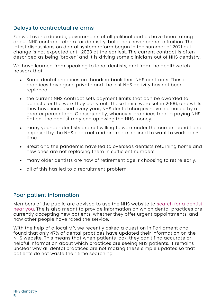### Delays to contractual reforms

For well over a decade, governments of all political parties have been talking about NHS contract reform for dentistry, but it has never come to fruition. The latest discussions on dental system reform began in the summer of 2021 but change is not expected until 2023 at the earliest. The current contract is often described as being 'broken' and it is driving some clinicians out of NHS dentistry.

We have learned from speaking to local dentists, and from the Healthwatch network that:

- Some dental practices are handing back their NHS contracts. These practices have gone private and the lost NHS activity has not been replaced.
- the current NHS contract sets payment limits that can be awarded to dentists for the work they carry out. These limits were set in 2006, and whilst they have increased every year, NHS dental charges have increased by a greater percentage. Consequently, whenever practices treat a paying NHS patient the dentist may end up owing the NHS money.
- many younger dentists are not willing to work under the current conditions imposed by the NHS contract and are more inclined to want to work parttime.
- Brexit and the pandemic have led to overseas dentists returning home and new ones are not replacing them in sufficient numbers.
- many older dentists are now of retirement age, r choosing to retire early.
- all of this has led to a recruitment problem.

#### Poor patient information

Members of the public are advised to use the NHS website to [search for a dentist](http://www.nhs.uk/Service-Search/Dentists/LocationSearch/3)  [near you.](http://www.nhs.uk/Service-Search/Dentists/LocationSearch/3) The is also meant to provide information on which dental practices are currently accepting new patients, whether they offer urgent appointments, and how other people have rated the service.

With the help of a local MP, we recently asked a question in Parliament and found that only 47% of dental practices have updated their information on the NHS website. This means that when patients look, they can't find accurate or helpful information about which practices are seeing NHS patients. It remains unclear why all dental practices are not making these simple updates so that patients do not waste their time searching.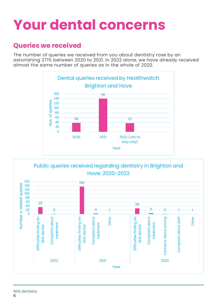# **Your dental concerns**

### **Queries we received**

The number of queries we received from you about dentistry rose by an astonishing 271% between 2020 to 2021. In 2022 alone, we have already received almost the same number of queries as in the whole of 2020.



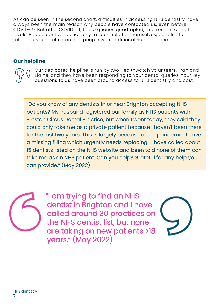As can be seen in the second chart, difficulties in accessing NHS dentistry have always been the main reason why people have contacted us, even before COVID-19. But after COVID hit, those queries quadrupled, and remain at high levels. People contact us not only to seek help for themselves, but also for refugees, young children and people with additional support needs.

### **Our helpline**

Our dedicated helpline is run by two Healthwatch volunteers, Fran and Elaine, and they have been responding to your dental queries. Your key questions to us have been around access to NHS dentistry and cost.

"Do you know of any dentists in or near Brighton accepting NHS patients? My husband registered our family as NHS patients with Preston Circus Dental Practice, but when I went today, they said they could only take me as a private patient because I haven't been there for the last two years. This is largely because of the pandemic. I have a missing filling which urgently needs replacing. I have called about 15 dentists listed on the NHS website and been told none of them can take me as an NHS patient. Can you help? Grateful for any help you can provide." (May 2022)

> "I am trying to find an NHS dentist in Brighton and I have called around 30 practices on the NHS dentist list, but none are taking on new patients >18 years." (May 2022)

NHS dentistry 7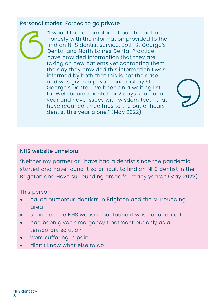### Personal stories: Forced to go private

"I would like to complain about the lack of honesty with the information provided to the find an NHS dentist service. Both St George's Dental and North Laines Dental Practice have provided information that they are taking on new patients yet contacting them the day they provided this information I was informed by both that this is not the case and was given a private price list by St George's Dental. I've been on a waiting list for Wellsbourne Dental for 2 days short of a year and have issues with wisdom teeth that have required three trips to the out of hours dentist this year alone." (May 2022)

### NHS website unhelpful

"Neither my partner or I have had a dentist since the pandemic started and have found it so difficult to find an NHS dentist in the Brighton and Hove surrounding areas for many years." (May 2022)

This person:

- called numerous dentists in Brighton and the surrounding area
- searched the NHS website but found it was not updated
- had been given emergency treatment but only as a temporary solution
- were suffering in pain
- didn't know what else to do.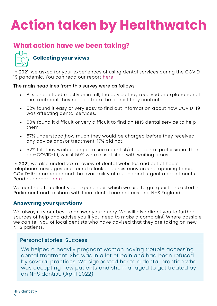# **Action taken by Healthwatch**

### **What action have we been taking?**



### **Collecting your views**

In 2021, we asked for your experiences of using dental services during the COVID19 pandemic. You can read our report [here](https://www.healthwatchbrightonandhove.co.uk/report/2021-01-12/dental-services-during-covid-19)

#### The main headlines from this survey were as follows:

- 81% understood mostly or in full, the advice they received or explanation of the treatment they needed from the dentist they contacted.
- 52% found it easy or very easy to find out information about how COVID-19 was affecting dental services.
- 60% found it difficult or very difficult to find an NHS dental service to help them.
- 57% understood how much they would be charged before they received any advice and/or treatment; 17% did not.
- 52% felt they waited longer to see a dentist/other dental professional than pre-COVID-19, whilst 59% were dissatisfied with waiting times.

In 2021, we also undertook a review of dental websites and out of hours telephone messages and found a lack of consistency around opening times, COVID-19 information and the availability of routine and urgent appointments. Read our report [here.](https://www.healthwatchbrightonandhove.co.uk/report/2021-03-29/review-dental-websites-and-out-hours-telephone-messages-reconfirms-earlier)

We continue to collect your experiences which we use to get questions asked in Parliament and to share with local dental committees and NHS England.

### **Answering your questions**

We always try our best to answer your query. We will also direct you to further sources of help and advise you if you need to make a complaint. Where possible, we can tell you of local dentists who have advised that they are taking on new NHS patients.

#### Personal stories: Success

We helped a heavily pregnant woman having trouble accessing dental treatment. She was in a lot of pain and had been refused by several practices. We signposted her to a dental practice who was accepting new patients and she managed to get treated by an NHS dentist. (April 2022)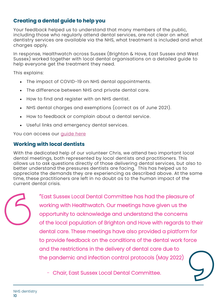### **Creating a dental guide to help you**

Your feedback helped us to understand that many members of the public, including those who regularly attend dental services, are not clear on what dentistry services are available via the NHS, what treatment is included and what charges apply.

In response, Healthwatch across Sussex (Brighton & Hove, East Sussex and West Sussex) worked together with local dental organisations on a detailed guide to help everyone get the treatment they need.

This explains:

- The impact of COVID-19 on NHS dental appointments.
- The difference between NHS and private dental care.
- How to find and register with an NHS dentist.
- NHS dental charges and exemptions (correct as of June 2021).
- How to feedback or complain about a dental service.
- Useful links and emergency dental services.

You can access our quide here

### **Working with local dentists**

With the dedicated help of our volunteer Chris, we attend two important local dental meetings, both represented by local dentists and practitioners. This allows us to ask questions directly of those delivering dental services, but also to better understand the pressures dentists are facing. This has helped us to appreciate the demands they are experiencing as described above. At the same time, these practitioners are left in no doubt as to the human impact of the current dental crisis.

> "East Sussex Local Dental Committee has had the pleasure of working with Healthwatch. Our meetings have given us the opportunity to acknowledge and understand the concerns of the local population of Brighton and Hove with regards to their dental care. These meetings have also provided a platform for to provide feedback on the conditions of the dental work force and the restrictions in the delivery of dental care due to the pandemic and infection control protocols (May 2022)

- Chair, East Sussex Local Dental Committee.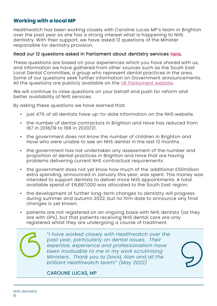### **Working with a local MP**

Healthwatch has been working closely with Caroline Lucas MP's team in Brighton over the past year as she has a strong interest what is happening to NHS dentistry. With their support, we have asked 12 questions of the Minister responsible for dentistry provision.

#### Read our 12 questions asked in Parliament about dentistry services [here.](https://www.healthwatchbrightonandhove.co.uk/report/2022-05-30/healthwatch-gets-questions-dentistry-raised-parliament)

These questions are based on your experiences which you have shared with us, and information we have gathered from other sources such as the South East Local Dental Committee, a group who represent dental practices in the area. Some of our questions seek further information on Government announcements. All the questions are publicly available on the [UK Parliament website.](https://questions-statements.parliament.uk/)

We will continue to raise questions on your behalf and push for reform and better availability of NHS services.

By asking these questions we have learned that:

- just 47% of all dentists have up-to-date information on the NHS website.
- the number of dental contractors in Brighton and Hove has reduced from 187 in 2018/19 to 168 in 2020/21.
- the government does not know the number of children in Brighton and Hove who were unable to see an NHS dentist in the last 12 months.
- the government has not undertaken any assessment of the number and proportion of dental practices in Brighton and Hove that are having problems delivering current NHS contractual requirements.
- the government does not yet know how much of the additional £50million extra spending, announced in January this year, was spent. This money was intended to support dentists to deliver more NHS appointments. A total available spend of £6,887,000 was allocated to the South East region.
- the development of further long-term changes to dentistry will progress during summer and autumn 2022, but no firm date to announce any final changes is yet known.
- patients are not registered on an ongoing basis with NHS dentists (as they are with GPs), but that patients receiving NHS dental care are only registered whilst they are undergoing a course of treatment.



"*I have worked closely with Healthwatch over the past year, particularly on dental issues. Their expertise, experience and professionalism have been invaluable to me in my work scrutinising Ministers. Thank you to David, Alan and all the brilliant Healthwatch team!" (May 2022)*

#### CAROLINE LUCAS, MP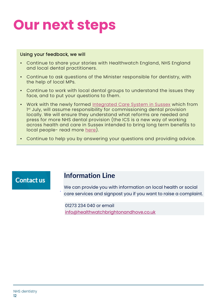# **Our next steps**

#### Using your feedback, we will

- Continue to share your stories with Healthwatch England, NHS England and local dental practitioners.
- Continue to ask questions of the Minister responsible for dentistry, with the help of local MPs.
- Continue to work with local dental groups to understand the issues they face, and to put your questions to them.
- Work with the newly formed [Integrated Care System in Sussex](https://www.healthwatchbrightonandhove.co.uk/news/2022-06-20/updating-you-changes-health-and-care-across-sussex-july-2022) which from 1 st July, will assume responsibility for commissioning dental provision locally. We will ensure they understand what reforms are needed and press for more NHS dental provision (the ICS is a new way of working across health and care in Sussex intended to bring long term benefits to local people- read more [here\)](https://www.healthwatchbrightonandhove.co.uk/news/2022-06-20/updating-you-changes-health-and-care-across-sussex-july-2022).
- Continue to help you by answering your questions and providing advice.

### **Contact us**

### **Information Line**

We can provide you with information on local health or social care services and signpost you if you want to raise a complaint.

01273 234 040 or email [info@healthwatchbrightonandhove.co.uk](mailto:info@healthwatchbrightonandhove.co.uk)